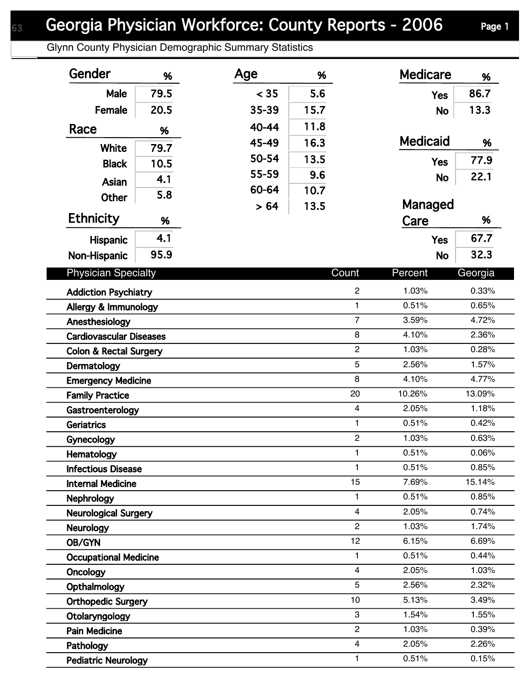Glynn County Physician Demographic Summary Statistics

| Gender                            | %    | Age   | %    |                    | <b>Medicare</b> | %              |
|-----------------------------------|------|-------|------|--------------------|-----------------|----------------|
| Male                              | 79.5 | < 35  | 5.6  |                    | <b>Yes</b>      | 86.7           |
| Female                            | 20.5 | 35-39 | 15.7 |                    | <b>No</b>       | 13.3           |
| Race                              | %    | 40-44 | 11.8 |                    |                 |                |
|                                   |      | 45-49 | 16.3 |                    | <b>Medicaid</b> | %              |
| White                             | 79.7 | 50-54 | 13.5 |                    |                 | 77.9           |
| <b>Black</b>                      | 10.5 | 55-59 | 9.6  |                    | <b>Yes</b>      | 22.1           |
| Asian                             | 4.1  | 60-64 | 10.7 |                    | <b>No</b>       |                |
| <b>Other</b>                      | 5.8  | > 64  | 13.5 |                    | Managed         |                |
| <b>Ethnicity</b>                  | %    |       |      |                    | Care            | %              |
| Hispanic                          | 4.1  |       |      |                    | <b>Yes</b>      | 67.7           |
| Non-Hispanic                      | 95.9 |       |      |                    | <b>No</b>       | 32.3           |
| <b>Physician Specialty</b>        |      |       |      | Count              | Percent         | Georgia        |
|                                   |      |       |      |                    |                 |                |
| <b>Addiction Psychiatry</b>       |      |       |      | $\overline{c}$     | 1.03%           | 0.33%          |
| Allergy & Immunology              |      |       |      | $\mathbf{1}$       | 0.51%           | 0.65%          |
| Anesthesiology                    |      |       |      | $\overline{7}$     | 3.59%           | 4.72%          |
| <b>Cardiovascular Diseases</b>    |      |       |      | 8                  | 4.10%           | 2.36%          |
| <b>Colon &amp; Rectal Surgery</b> |      |       |      | $\overline{c}$     | 1.03%           | 0.28%          |
| Dermatology                       |      |       |      | 5                  | 2.56%           | 1.57%          |
| <b>Emergency Medicine</b>         |      |       |      | 8                  | 4.10%           | 4.77%          |
| <b>Family Practice</b>            |      |       |      | 20                 | 10.26%          | 13.09%         |
| Gastroenterology                  |      |       |      | $\overline{4}$     | 2.05%           | 1.18%          |
| <b>Geriatrics</b>                 |      |       |      | $\mathbf{1}$       | 0.51%           | 0.42%          |
| Gynecology                        |      |       |      | $\overline{c}$     | 1.03%           | 0.63%          |
| Hematology                        |      |       |      | 1                  | 0.51%           | 0.06%          |
| <b>Infectious Disease</b>         |      |       |      | $\mathbf{1}$       | 0.51%           | 0.85%          |
| <b>Internal Medicine</b>          |      |       |      | 15<br>$\mathbf{1}$ | 7.69%           | 15.14%         |
| Nephrology                        |      |       |      | $\overline{4}$     | 0.51%<br>2.05%  | 0.85%<br>0.74% |
| <b>Neurological Surgery</b>       |      |       |      | $\overline{c}$     | 1.03%           | 1.74%          |
| <b>Neurology</b>                  |      |       |      | 12                 | 6.15%           | 6.69%          |
| OB/GYN                            |      |       |      | 1                  | 0.51%           | 0.44%          |
| <b>Occupational Medicine</b>      |      |       |      | $\overline{4}$     | 2.05%           | 1.03%          |
| <b>Oncology</b>                   |      |       |      | 5                  | 2.56%           | 2.32%          |
| Opthalmology                      |      |       |      | 10                 |                 |                |
| <b>Orthopedic Surgery</b>         |      |       |      | 3                  | 5.13%<br>1.54%  | 3.49%<br>1.55% |
| Otolaryngology                    |      |       |      | $\overline{c}$     | 1.03%           | 0.39%          |
| <b>Pain Medicine</b>              |      |       |      | $\overline{4}$     | 2.05%           | 2.26%          |
| Pathology                         |      |       |      | $\mathbf{1}$       | 0.51%           | 0.15%          |
| <b>Pediatric Neurology</b>        |      |       |      |                    |                 |                |